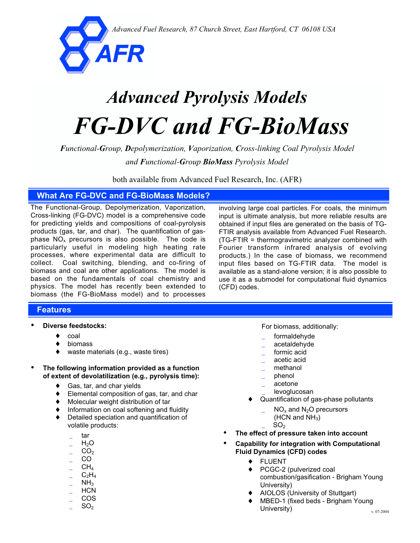*Advanced Fuel Research, 87 Church Street, East Hartford, CT 06108 USA*



# *Advanced Pyrolysis Models FG-DVC and FG-BioMass*

*Functional-Group, Depolymerization, Vaporization, Cross-linking Coal Pyrolysis Model*

*and Functional-Group BioMass Pyrolysis Model*

both available from Advanced Fuel Research, Inc. (AFR)

#### **What Are FG-DVC and FG-BioMass Models?**

The Functional-Group, Depolymerization, Vaporization, Cross-linking (FG-DVC) model is a comprehensive code for predicting yields and compositions of coal-pyrolysis products (gas, tar, and char). The quantification of gasphase  $NO<sub>x</sub>$  precursors is also possible. The code is particularly useful in modeling high heating rate processes, where experimental data are difficult to collect. Coal switching, blending, and co-firing of biomass and coal are other applications. The model is based on the fundamentals of coal chemistry and physics. The model has recently been extended to biomass (the FG-BioMass model) and to processes

involving large coal particles. For coals, the minimum input is ultimate analysis, but more reliable results are obtained if input files are generated on the basis of TG-FTIR analysis available from Advanced Fuel Research. (TG-FTIR = thermogravimetric analyzer combined with Fourier transform infrared analysis of evolving products.) In the case of biomass, we recommend input files based on TG-FTIR data. The model is available as a stand-alone version; it is also possible to use it as a submodel for computational fluid dynamics (CFD) codes.

#### **Features**

- **Diverse feedstocks:**
	- ♦ coal
	- biomass
	- waste materials (e.g., waste tires)
- **The following information provided as a function of extent of devolatilization (e.g., pyrolysis time):**
	- ♦ Gas, tar, and char yields
	- ♦ Elemental composition of gas, tar, and char
	- Molecular weight distribution of tar
	- Information on coal softening and fluidity
	- Detailed speciation and quantification of volatile products:
		- \_ tar
		- $H_2O$
		- $CO<sub>2</sub>$
		- \_ CO
		- $CH<sub>4</sub>$
		- $C_2H_4$
		- $NH<sub>3</sub>$ \_ HCN
		- \_ COS
		- $SO<sub>2</sub>$

For biomass, additionally:

- formaldehyde
- \_ acetaldehyde
- formic acid
- \_ acetic acid
- methanol
- \_ phenol
- \_ acetone
- levoglucosan
- Quantification of gas-phase pollutants
	- $NO_x$  and  $N_2O$  precursors
		- $(HCN and NH<sub>3</sub>)$
		- $SO<sub>2</sub>$
- **The effect of pressure taken into account**
- **Capability for integration with Computational Fluid Dynamics (CFD) codes**
	- ♦ FLUENT
	- ♦ PCGC-2 (pulverized coal combustion/gasification - Brigham Young University)
	- AIOLOS (University of Stuttgart)
	- MBED-1 (fixed beds Brigham Young University)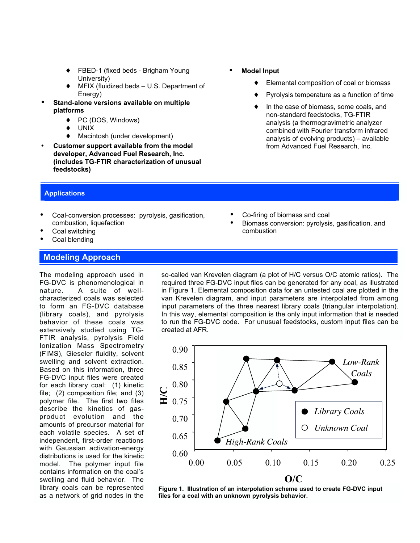- FBED-1 (fixed beds Brigham Young University)
- MFIX (fluidized beds U.S. Department of Energy)
- **Stand-alone versions available on multiple platforms**
	- ♦ PC (DOS, Windows)
	- UNIX
	- Macintosh (under development)
- **Customer support available from the model developer, Advanced Fuel Research, Inc. (includes TG-FTIR characterization of unusual feedstocks)**
- **Model Input**
	- ♦ Elemental composition of coal or biomass
	- Pyrolysis temperature as a function of time
	- In the case of biomass, some coals, and non-standard feedstocks, TG-FTIR analysis (a thermogravimetric analyzer combined with Fourier transform infrared analysis of evolving products) – available from Advanced Fuel Research, Inc.

• Biomass conversion: pyrolysis, gasification, and

#### **Applications**

- Coal-conversion processes: pyrolysis, gasification, combustion, liquefaction
- Coal switching
- Coal blending

#### **Modeling Approach**

The modeling approach used in FG-DVC is phenomenological in nature. A suite of wellcharacterized coals was selected to form an FG-DVC database (library coals), and pyrolysis behavior of these coals was extensively studied using TG-FTIR analysis, pyrolysis Field Ionization Mass Spectrometry (FIMS), Gieseler fluidity, solvent swelling and solvent extraction. Based on this information, three FG-DVC input files were created for each library coal: (1) kinetic file; (2) composition file; and (3) polymer file. The first two files describe the kinetics of gasproduct evolution and the amounts of precursor material for each volatile species. A set of independent, first-order reactions with Gaussian activation-energy distributions is used for the kinetic model. The polymer input file contains information on the coal's swelling and fluid behavior. The library coals can be represented as a network of grid nodes in the

so-called van Krevelen diagram (a plot of H/C versus O/C atomic ratios). The required three FG-DVC input files can be generated for any coal, as illustrated in Figure 1. Elemental composition data for an untested coal are plotted in the van Krevelen diagram, and input parameters are interpolated from among input parameters of the three nearest library coals (triangular interpolation). In this way, elemental composition is the only input information that is needed to run the FG-DVC code. For unusual feedstocks, custom input files can be created at AFR.

• Co-firing of biomass and coal

combustion



**Figure 1. Illustration of an interpolation scheme used to create FG-DVC input files for a coal with an unknown pyrolysis behavior.**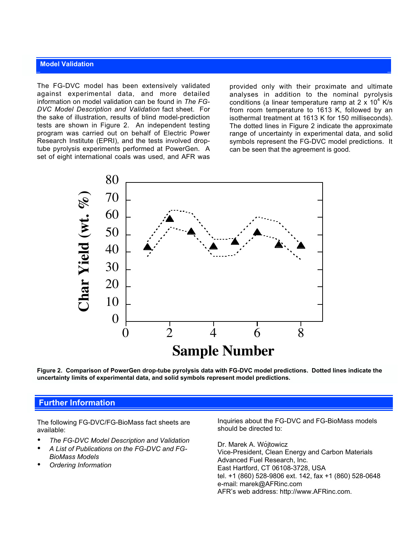#### **Model Validation**

The FG-DVC model has been extensively validated against experimental data, and more detailed information on model validation can be found in *The FG-DVC Model Description and Validation* fact sheet. For the sake of illustration, results of blind model-prediction tests are shown in Figure 2. An independent testing program was carried out on behalf of Electric Power Research Institute (EPRI), and the tests involved droptube pyrolysis experiments performed at PowerGen. A set of eight international coals was used, and AFR was

provided only with their proximate and ultimate analyses in addition to the nominal pyrolysis conditions (a linear temperature ramp at 2 x  $10^4$  K/s from room temperature to 1613 K, followed by an isothermal treatment at 1613 K for 150 milliseconds). The dotted lines in Figure 2 indicate the approximate range of uncertainty in experimental data, and solid symbols represent the FG-DVC model predictions. It can be seen that the agreement is good.



**Figure 2. Comparison of PowerGen drop-tube pyrolysis data with FG-DVC model predictions. Dotted lines indicate the uncertainty limits of experimental data, and solid symbols represent model predictions.**

#### **Further Information**

The following FG-DVC/FG-BioMass fact sheets are available:

- *The FG-DVC Model Description and Validation*
- *A List of Publications on the FG-DVC and FG-BioMass Models*
- *Ordering Information*

Inquiries about the FG-DVC and FG-BioMass models should be directed to:

Dr. Marek A. Wójtowicz Vice-President, Clean Energy and Carbon Materials Advanced Fuel Research, Inc. East Hartford, CT 06108-3728, USA tel. +1 (860) 528-9806 ext. 142, fax +1 (860) 528-0648 e-mail: marek@AFRinc.com AFR's web address: http://www.AFRinc.com.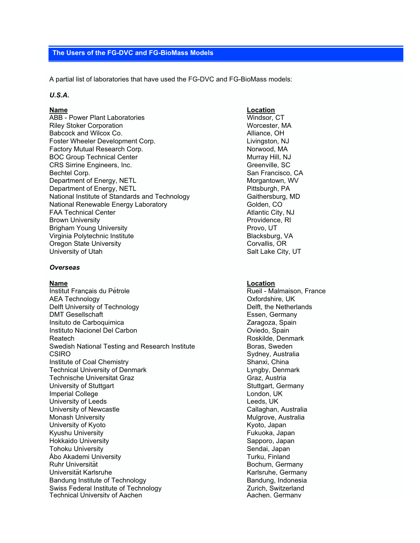#### **The Users of the FG-DVC and FG-BioMass Models**

A partial list of laboratories that have used the FG-DVC and FG-BioMass models:

#### *U.S.A.*

ABB - Power Plant Laboratories Windsor, CT Riley Stoker Corporation National Communication National Worcester, MA Babcock and Wilcox Co. Alliance, OH Foster Wheeler Development Corp. The Corp. The Livingston, NJ Factory Mutual Research Corp. Norwood, MA BOC Group Technical Center Murray Hill, NJ CRS Sirrine Engineers, Inc. CRS Sirrine Engineers, Inc. Bechtel Corp. **San Francisco, CA** Department of Energy, NETL Morgantown, WV Department of Energy, NETL<br>
National Institute of Standards and Technology<br>
Gaithersburg, MD National Institute of Standards and Technology National Renewable Energy Laboratory **Golden, Confirming Contract Confirming** Golden, CO FAA Technical Center Atlantic City, NJ Brown University **Providence, RI** Brigham Young University **Provides** Provo, UT Virginia Polytechnic Institute **Blacksburg**, VA Oregon State University **Contains a State University** Corvallis, OR University of Utah Salt Lake City, UT

#### *Overseas*

Institut Français du Pétrole **Mateur de La Communister de La Communister** Rueil - Malmaison, France AEA Technology **Oxfordshire, UK** Delft University of Technology **Delft** University of Technology **Delft**, the Netherlands DMT Gesellschaft Essen, Germany Insituto de Carboquimica **Variano antico a Caragoza**, Spain Instituto Nacionel Del Carbon **Carbon Communisties Communisties** Oviedo, Spain Reatech **Roskilde, Denmark** Roskilde, Denmark Swedish National Testing and Research Institute **Boras, Sweden**<br>CSIRO Sydney, Austral **Institute of Coal Chemistry Shanxi, China** Technical University of Denmark **Lyngby, Denmark** Lyngby, Denmark Technische Universitat Graz Graz Graz Graz, Austria University of Stuttgart Stuttgart Stuttgart Stuttgart, Germany Imperial College London, UK University of Leeds **Leeds Leeds**, UK University of Newcastle **Callaghan, Australia** Callaghan, Australia Monash University Mulgrove, Australia University of Kyoto **Kyoto** Kyoto, Japan Kyushu University **Fukuoka, Japan** Hokkaido University Sapporo, Japan **Tohoku University** Åbo Akademi University Turku, Finland<br>Ruhr Universität Bochum. Germ Universität Karlsruhe Karlsruhe Karlsruhe, Germany Bandung Institute of Technology<br>
Swiss Federal Institute of Technology<br>
Swiss Federal Institute of Technology<br>
Curich, Switzerland Swiss Federal Institute of Technology **Surich, Switzerland Containers Curich** Zurich, Switzerland<br>Technical University of Aachen Technical University of Aachen

#### **Name Location**

#### **Name Location**

Sydney, Australia Bochum, Germany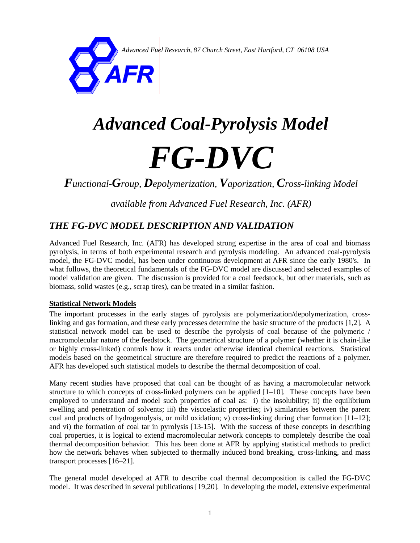*Advanced Fuel Research, 87 Church Street, East Hartford, CT 06108 USA*

# *Advanced Coal-Pyrolysis Model FG-DVC*

*Functional-Group, Depolymerization, Vaporization, Cross-linking Model* 

<span id="page-4-1"></span><span id="page-4-0"></span>*available from Advanced Fuel Research, Inc. (AFR)*

## *THE FG-DVC MODEL DESCRIPTION AND VALIDATION*

*AFR* 

Advanced Fuel Research, Inc. (AFR) has developed strong expertise in the area of coal and biomass pyrolysis, in terms of both experimental research and pyrolysis modeling. An advanced coal-pyrolysis model, the FG-DVC model, has been under continuous development at AFR since the early 1980's. In what follows, the theoretical fundamentals of the FG-DVC model are discussed and selected examples of model validation are given. The discussion is provided for a coal feedstock, but other materials, such as biomass, solid wastes (e.g., scrap tires), can be treated in a similar fashion.

#### **Statistical Network Models**

The important processes in the early stages of pyrolysis are polymerization/depolymerization, crosslinking and gas formation, and these early processes determine the basic structure of the products [[1,](#page-7-0)[2\].](#page-7-1) A statistical network model can be used to describe the pyrolysis of coal because of the polymeric / macromolecular nature of the feedstock. The geometrical structure of a polymer (whether it is chain-like or highly cross-linked) controls how it reacts under otherwise identical chemical reactions. Statistical models based on the geometrical structure are therefore required to predict the reactions of a polymer. AFR has developed such statistical models to describe the thermal decomposition of coal.

<span id="page-4-5"></span><span id="page-4-3"></span>Many recent studies have proposed that coal can be thought of as having a macromolecular network structure to which concepts of cross-linked polymers can be applied [[1](#page-4-0)[–](#page-4-1)[10\]](#page-7-9). These concepts have been employed to understand and model such properties of coal as: i) the insolubility; ii) the equilibrium swelling and penetration of solvents; iii) the viscoelastic properties; iv) similarities between the parent coal and products of hydrogenolysis, or mild oxidation; v) cross-linking during char formation [[11–](#page-7-10)[12\];](#page-7-11) and vi) the formation of coal tar in pyrolysis [[13-](#page-7-12)[15\].](#page-7-13) With the success of these concepts in describing coal properties, it is logical to extend macromolecular network concepts to completely describe the coal thermal decomposition behavior. This has been done at AFR by applying statistical methods to predict how the network behaves when subjected to thermally induced bond breaking, cross-linking, and mass transport processes [[16](#page-7-15)[–](#page-7-16)[21\].](#page-7-20)

<span id="page-4-4"></span><span id="page-4-2"></span>The general model developed at AFR to describe coal thermal decomposition is called the FG-DVC model. It was described in several publications [[19,20\]](#page-4-2). In developing the model, extensive experimental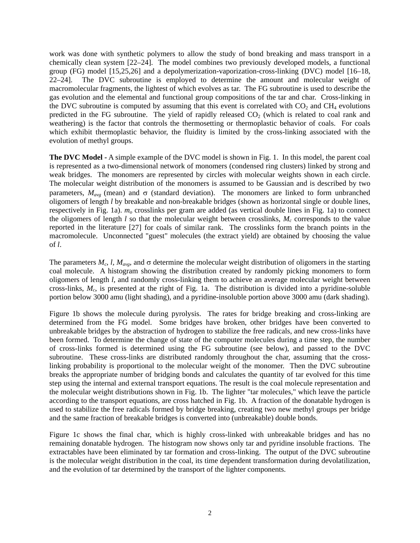<span id="page-5-3"></span><span id="page-5-2"></span><span id="page-5-1"></span><span id="page-5-0"></span>work was done with synthetic polymers to allow the study of bond breaking and mass transport in a chemically clean system [\[22](#page-7-21)[–](#page-7-22)[24\].](#page-7-23) The model combines two previously developed models, a functional group (FG) model [[15,](#page-4-3)[25,](#page-7-24)[26\]](#page-7-25) and a depolymerization-vaporization-cross-linking (DVC) model [[16–](#page-4-4)[18,](#page-4-2) [22](#page-5-0)[–](#page-5-1)[24\]](#page-5-2). The DVC subroutine is employed to determine the amount and molecular weight of macromolecular fragments, the lightest of which evolves as tar. The FG subroutine is used to describe the gas evolution and the elemental and functional group compositions of the tar and char. Cross-linking in the DVC subroutine is computed by assuming that this event is correlated with  $CO<sub>2</sub>$  and  $CH<sub>4</sub>$  evolutions predicted in the FG subroutine. The yield of rapidly released  $CO<sub>2</sub>$  (which is related to coal rank and weathering) is the factor that controls the thermosetting or thermoplastic behavior of coals. For coals which exhibit thermoplastic behavior, the fluidity is limited by the cross-linking associated with the evolution of methyl groups.

**The DVC Model -** A simple example of the DVC model is shown in Fig. 1. In this model, the parent coal is represented as a two-dimensional network of monomers (condensed ring clusters) linked by strong and weak bridges. The monomers are represented by circles with molecular weights shown in each circle. The molecular weight distribution of the monomers is assumed to be Gaussian and is described by two parameters,  $M_{avg}$  (mean) and  $\sigma$  (standard deviation). The monomers are linked to form unbranched oligomers of length *l* by breakable and non-breakable bridges (shown as horizontal single or double lines, respectively in Fig. 1a).  $m<sub>o</sub>$  crosslinks per gram are added (as vertical double lines in Fig. 1a) to connect the oligomers of length  $l$  so that the molecular weight between crosslinks,  $M_c$  corresponds to the value reported in the literature [[27\]](#page-7-26) for coals of similar rank. The crosslinks form the branch points in the macromolecule. Unconnected "guest" molecules (the extract yield) are obtained by choosing the value of *l*.

<span id="page-5-4"></span>The parameters  $M_c$ , l,  $M_{avg}$ , and  $\sigma$  determine the molecular weight distribution of oligomers in the starting coal molecule. A histogram showing the distribution created by randomly picking monomers to form oligomers of length *l*, and randomly cross-linking them to achieve an average molecular weight between cross-links, *Mc*, is presented at the right of Fig. 1a. The distribution is divided into a pyridine-soluble portion below 3000 amu (light shading), and a pyridine-insoluble portion above 3000 amu (dark shading).

Figure 1b shows the molecule during pyrolysis. The rates for bridge breaking and cross-linking are determined from the FG model. Some bridges have broken, other bridges have been converted to unbreakable bridges by the abstraction of hydrogen to stabilize the free radicals, and new cross-links have been formed. To determine the change of state of the computer molecules during a time step, the number of cross-links formed is determined using the FG subroutine (see below), and passed to the DVC subroutine. These cross-links are distributed randomly throughout the char, assuming that the crosslinking probability is proportional to the molecular weight of the monomer. Then the DVC subroutine breaks the appropriate number of bridging bonds and calculates the quantity of tar evolved for this time step using the internal and external transport equations. The result is the coal molecule representation and the molecular weight distributions shown in Fig. 1b. The lighter "tar molecules," which leave the particle according to the transport equations, are cross hatched in Fig. 1b. A fraction of the donatable hydrogen is used to stabilize the free radicals formed by bridge breaking, creating two new methyl groups per bridge and the same fraction of breakable bridges is converted into (unbreakable) double bonds.

Figure 1c shows the final char, which is highly cross-linked with unbreakable bridges and has no remaining donatable hydrogen. The histogram now shows only tar and pyridine insoluble fractions. The extractables have been eliminated by tar formation and cross-linking. The output of the DVC subroutine is the molecular weight distribution in the coal, its time dependent transformation during devolatilization, and the evolution of tar determined by the transport of the lighter components.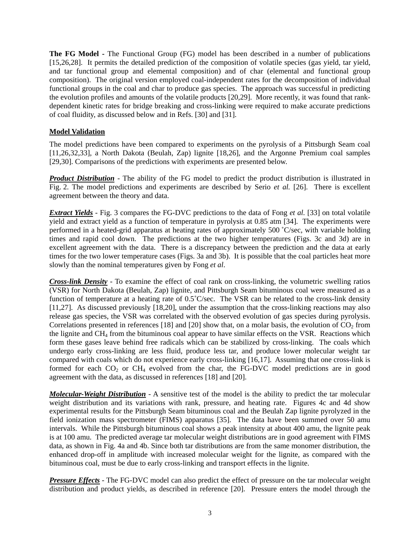**The FG Model -** The Functional Group (FG) model has been described in a number of publications [[15,](#page-4-3)[26,](#page-5-3)[28\].](#page-7-27) It permits the detailed prediction of the composition of volatile species (gas yield, tar yield, and tar functional group and elemental composition) and of char (elemental and functional group composition). The original version employed coal-independent rates for the decomposition of individual functional groups in the coal and char to produce gas species. The approach was successful in predicting the evolution profiles and amounts of the volatile products [[20,](#page-4-2)[29\]](#page-7-28). More recently, it was found that rankdependent kinetic rates for bridge breaking and cross-linking were required to make accurate predictions of coal fluidity, as discussed below and in Refs. [[30\]](#page-7-29) and [[31\].](#page-7-30)

#### <span id="page-6-3"></span><span id="page-6-1"></span><span id="page-6-0"></span>**Model Validation**

<span id="page-6-2"></span>The model predictions have been compared to experiments on the pyrolysis of a Pittsburgh Seam coal [[11,](#page-4-5)[26,](#page-5-3)[32,](#page-7-31)[33\],](#page-7-32) a North Dakota (Beulah, Zap) lignite [[18,](#page-4-2)[26\],](#page-5-3) and the Argonne Premium coal samples [[29,](#page-6-0)[30\]](#page-6-1). Comparisons of the predictions with experiments are presented below.

*Product Distribution* - The ability of the FG model to predict the product distribution is illustrated in Fig. 2. The model predictions and experiments are described by Serio *et al.* [[26\]](#page-5-3). There is excellent agreement between the theory and data.

*Extract Yields* - Fig. 3 compares the FG-DVC predictions to the data of Fong *et al.* [[33\]](#page-6-2) on total volatile yield and extract yield as a function of temperature in pyrolysis at 0.85 atm [\[34\]](#page-7-33). The experiments were performed in a heated-grid apparatus at heating rates of approximately 500 ˚C/sec, with variable holding times and rapid cool down. The predictions at the two higher temperatures (Figs. 3c and 3d) are in excellent agreement with the data. There is a discrepancy between the prediction and the data at early times for the two lower temperature cases (Figs. 3a and 3b). It is possible that the coal particles heat more slowly than the nominal temperatures given by Fong *et al*.

*Cross-link Density* - To examine the effect of coal rank on cross-linking, the volumetric swelling ratios (VSR) for North Dakota (Beulah, Zap) lignite, and Pittsburgh Seam bituminous coal were measured as a function of temperature at a heating rate of 0.5˚C/sec. The VSR can be related to the cross-link density [[11,](#page-4-5)[27\]](#page-5-4). As discussed previously [[18,20\]](#page-4-2), under the assumption that the cross-linking reactions may also release gas species, the VSR was correlated with the observed evolution of gas species during pyrolysis. Correlations presented in references [[18\]](#page-4-2) and [[20\]](#page-4-2) show that, on a molar basis, the evolution of  $CO<sub>2</sub>$  from the lignite and CH4 from the bituminous coal appear to have similar effects on the VSR. Reactions which form these gases leave behind free radicals which can be stabilized by cross-linking. The coals which undergo early cross-linking are less fluid, produce less tar, and produce lower molecular weight tar compared with coals which do not experience early cross-linking [\[16,](#page-4-4)[17\]](#page-4-2). Assuming that one cross-link is formed for each  $CO_2$  or  $CH_4$  evolved from the char, the FG-DVC model predictions are in good agreement with the data, as discussed in references [[18\]](#page-4-2) and [[20\]](#page-4-2).

*Molecular-Weight Distribution* - A sensitive test of the model is the ability to predict the tar molecular weight distribution and its variations with rank, pressure, and heating rate. Figures 4c and 4d show experimental results for the Pittsburgh Seam bituminous coal and the Beulah Zap lignite pyrolyzed in the field ionization mass spectrometer (FIMS) apparatus [[35\]](#page-7-34). The data have been summed over 50 amu intervals. While the Pittsburgh bituminous coal shows a peak intensity at about 400 amu, the lignite peak is at 100 amu. The predicted average tar molecular weight distributions are in good agreement with FIMS data, as shown in Fig. 4a and 4b. Since both tar distributions are from the same monomer distribution, the enhanced drop-off in amplitude with increased molecular weight for the lignite, as compared with the bituminous coal, must be due to early cross-linking and transport effects in the lignite.

*Pressure Effects* - The FG-DVC model can also predict the effect of pressure on the tar molecular weight distribution and product yields, as described in reference [[20\]](#page-4-2). Pressure enters the model through the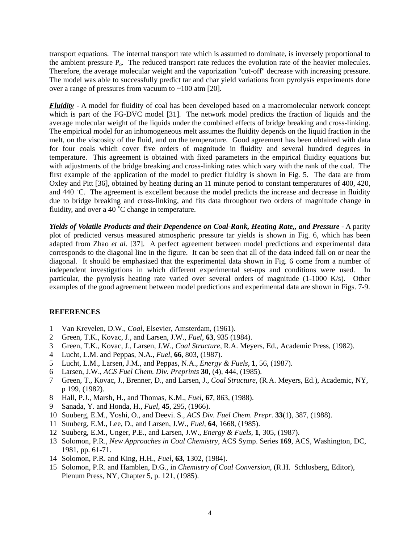<span id="page-7-15"></span>transport equations. The internal transport rate which is assumed to dominate, is inversely proportional to the ambient pressure  $P_0$ . The reduced transport rate reduces the evolution rate of the heavier molecules. Therefore, the average molecular weight and the vaporization "cut-off" decrease with increasing pressure. The model was able to successfully predict tar and char yield variations from pyrolysis experiments done over a range of pressures from vacuum to  $\sim$ 100 atm [[20\]](#page-4-2).

<span id="page-7-20"></span><span id="page-7-19"></span><span id="page-7-18"></span><span id="page-7-17"></span><span id="page-7-16"></span>*Fluidity* - A model for fluidity of coal has been developed based on a macromolecular network concept which is part of the FG-DVC model [[31\]](#page-6-3). The network model predicts the fraction of liquids and the average molecular weight of the liquids under the combined effects of bridge breaking and cross-linking. The empirical model for an inhomogeneous melt assumes the fluidity depends on the liquid fraction in the melt, on the viscosity of the fluid, and on the temperature. Good agreement has been obtained with data for four coals which cover five orders of magnitude in fluidity and several hundred degrees in temperature. This agreement is obtained with fixed parameters in the empirical fluidity equations but with adjustments of the bridge breaking and cross-linking rates which vary with the rank of the coal. The first example of the application of the model to predict fluidity is shown in Fig. 5. The data are from Oxley and Pitt [[36\]](#page-7-35), obtained by heating during an 11 minute period to constant temperatures of 400, 420, and 440 ˚C. The agreement is excellent because the model predicts the increase and decrease in fluidity due to bridge breaking and cross-linking, and fits data throughout two orders of magnitude change in fluidity, and over a 40 ˚C change in temperature.

<span id="page-7-29"></span><span id="page-7-28"></span><span id="page-7-27"></span><span id="page-7-26"></span><span id="page-7-25"></span><span id="page-7-24"></span><span id="page-7-23"></span><span id="page-7-22"></span><span id="page-7-21"></span>*Yields of Volatile Products and their Dependence on Coal-Rank, Heating Rate,, and Pressure* - A parity plot of predicted versus measured atmospheric pressure tar yields is shown in Fig. 6, which has been adapted from Zhao *et al.* [[37\]](#page-7-36). A perfect agreement between model predictions and experimental data corresponds to the diagonal line in the figure. It can be seen that all of the data indeed fall on or near the diagonal. It should be emphasized that the experimental data shown in Fig. 6 come from a number of independent investigations in which different experimental set-ups and conditions were used. In particular, the pyrolysis heating rate varied over several orders of magnitude (1-1000 K/s). Other examples of the good agreement between model predictions and experimental data are shown in Figs. 7-9.

#### <span id="page-7-32"></span><span id="page-7-31"></span><span id="page-7-30"></span>**REFERENCES**

- <span id="page-7-33"></span><span id="page-7-0"></span>1 Van Krevelen, D.W., *Coal*, Elsevier, Amsterdam, (1961).
- <span id="page-7-34"></span><span id="page-7-1"></span>2 Green, T.K., Kovac, J., and Larsen, J.W., *Fuel*, **63**, 935 (1984).
- <span id="page-7-35"></span><span id="page-7-2"></span>3 Green, T.K., Kovac, J., Larsen, J.W., *Coal Structure*, R.A. Meyers, Ed., Academic Press, (1982).
- <span id="page-7-36"></span><span id="page-7-3"></span>4 Lucht, L.M. and Peppas, N.A., *Fuel*, **66**, 803, (1987).
- <span id="page-7-4"></span>5 Lucht, L.M., Larsen, J.M., and Peppas, N.A., *Energy & Fuels*, **1**, 56, (1987).
- <span id="page-7-5"></span>6 Larsen, J.W., *ACS Fuel Chem. Div. Preprints* **30**, (4), 444, (1985).
- <span id="page-7-6"></span>7 Green, T., Kovac, J., Brenner, D., and Larsen, J., *Coal Structure*, (R.A. Meyers, Ed.), Academic, NY, p 199, (1982).
- <span id="page-7-7"></span>8 Hall, P.J., Marsh, H., and Thomas, K.M., *Fuel*, **67**, 863, (1988).
- <span id="page-7-8"></span>9 Sanada, Y. and Honda, H., *Fuel*, **45**, 295, (1966).
- <span id="page-7-9"></span>10 Suuberg, E.M., Yoshi, O., and Deevi. S., *ACS Div. Fuel Chem. Prepr*. **33**(1), 387, (1988).
- <span id="page-7-10"></span>11 Suuberg, E.M., Lee, D., and Larsen, J.W., *Fuel*, **64**, 1668, (1985).
- <span id="page-7-11"></span>12 Suuberg, E.M., Unger, P.E., and Larsen, J.W., *Energy & Fuels,* **1**, 305, (1987).
- <span id="page-7-12"></span>13 Solomon, P.R., *New Approaches in Coal Chemistry*, ACS Symp. Series **169**, ACS, Washington, DC, 1981, pp. 61-71.
- <span id="page-7-13"></span>14 Solomon, P.R. and King, H.H., *Fuel*, **63**, 1302, (1984).
- <span id="page-7-14"></span>15 Solomon, P.R. and Hamblen, D.G., in *Chemistry of Coal Conversion*, (R.H. Schlosberg, Editor), Plenum Press, NY, Chapter 5, p. 121, (1985).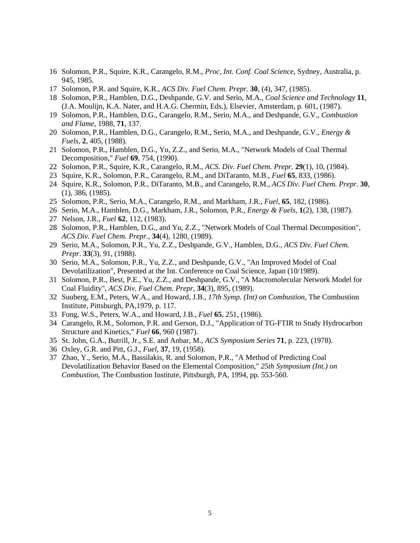- 16 Solomon, P.R., Squire, K.R., Carangelo, R.M., *Proc, Int. Conf. Coal Science*, Sydney, Australia, p. 945, 1985.
- 17 Solomon, P.R. and Squire, K.R., *ACS Div. Fuel Chem. Prepr*. **30**, (4), 347, (1985).
- 18 Solomon, P.R., Hamblen, D.G., Deshpande, G.V. and Serio, M.A., *Coal Science and Technology* **11***,* (J.A. Moulijn, K.A. Nater, and H.A.G. Chermin, Eds.), Elsevier, Amsterdam, p. 601, (1987).
- 19 Solomon, P.R., Hamblen, D.G., Carangelo, R.M., Serio, M.A., and Deshpande, G.V., *Combustion and Flame*, 1988, **71**, 137.
- 20 Solomon, P.R., Hamblen, D.G., Carangelo, R.M., Serio, M.A., and Deshpande, G.V., *Energy & Fuels*, **2**, 405, (1988).
- 21 Solomon, P.R., Hamblen, D.G., Yu, Z.Z., and Serio, M.A., "Network Models of Coal Thermal Decomposition," *Fuel* **69**, 754, (1990).
- 22 Solomon, P.R., Squire, K.R., Carangelo, R.M., *ACS. Div. Fuel Chem. Prepr.* **29**(1), 10, (1984).
- 23 Squire, K.R., Solomon, P.R., Carangelo, R.M., and DiTaranto, M.B., *Fuel* **65**, 833, (1986).
- 24 Squire, K.R., Solomon, P.R., DiTaranto, M.B., and Carangelo, R.M., *ACS Div. Fuel Chem. Prepr*. **30**, (1), 386, (1985).
- 25 Solomon, P.R., Serio, M.A., Carangelo, R.M., and Markham, J.R., *Fuel*, **65**, 182, (1986).
- 26 Serio, M.A., Hamblen, D.G., Markham, J.R., Solomon, P.R*., Energy & Fuels,* **1**(2), 138, (1987).
- 27 Nelson, J.R., *Fuel* **62**, 112, (1983).
- 28 Solomon, P.R., Hamblen, D.G., and Yu, Z.Z., "Network Models of Coal Thermal Decomposition", *ACS Div. Fuel Chem. Prepr.,* **34**(4), 1280, (1989).
- 29 Serio, M.A., Solomon, P.R., Yu, Z.Z., Deshpande, G.V., Hamblen, D.G., *ACS Div. Fuel Chem. Prepr*. **33**(3), 91, (1988).
- 30 Serio, M.A., Solomon, P.R., Yu, Z.Z., and Deshpande, G.V., "An Improved Model of Coal Devolatilization", Presented at the Int. Conference on Coal Science, Japan (10/1989).
- 31 Solomon, P.R., Best, P.E., Yu, Z.Z., and Deshpande, G.V., "A Macromolecular Network Model for Coal Fluidity", *ACS Div. Fuel Chem. Prepr,* **34**(3), 895, (1989).
- 32 Suuberg, E.M., Peters, W.A., and Howard, J.B., *17th Symp. (Int) on Combustion*, The Combustion Institute, Pittsburgh, PA,1979, p. 117.
- 33 Fong, W.S., Peters, W.A., and Howard, J.B., *Fuel* **65**, 251, (1986).
- 34 Carangelo, R.M., Solomon, P.R. and Gerson, D.J., "Application of TG-FTIR to Study Hydrocarbon Structure and Kinetics," *Fuel* **66**, 960 (1987).
- 35 St. John, G.A., Butrill, Jr., S.E. and Anbar, M., *ACS Symposium Series* **71**, p. 223, (1978).
- 36 Oxley, G.R. and Pitt, G.J., *Fuel*, **37**, 19, (1958).
- 37 Zhao, Y., Serio, M.A., Bassilakis, R. and Solomon, P.R., "A Method of Predicting Coal Devolatilization Behavior Based on the Elemental Composition," *25th Symposium (Int.) on Combustion*, The Combustion Institute, Pittsburgh, PA, 1994, pp. 553-560.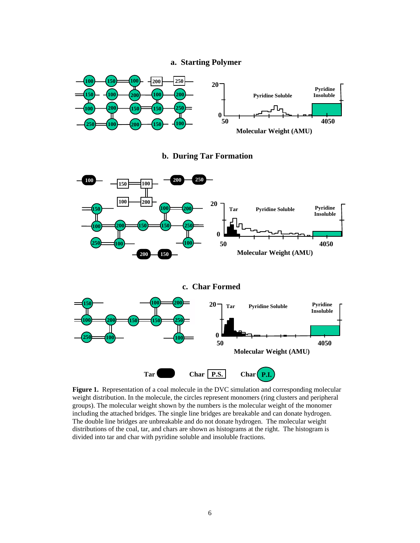#### **a. Starting Polymer**



**b. During Tar Formation**



**Figure 1.** Representation of a coal molecule in the DVC simulation and corresponding molecular weight distribution. In the molecule, the circles represent monomers (ring clusters and peripheral groups). The molecular weight shown by the numbers is the molecular weight of the monomer including the attached bridges. The single line bridges are breakable and can donate hydrogen. The double line bridges are unbreakable and do not donate hydrogen. The molecular weight distributions of the coal, tar, and chars are shown as histograms at the right. The histogram is divided into tar and char with pyridine soluble and insoluble fractions.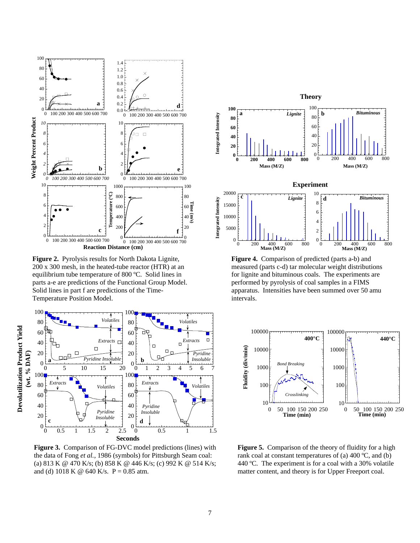

**Figure 2.** Pyrolysis results for North Dakota Lignite, 200 x 300 mesh, in the heated-tube reactor (HTR) at an equilibrium tube temperature of 800 ºC. Solid lines in parts a-e are predictions of the Functional Group Model. Solid lines in part f are predictions of the Time-Temperature Position Model.



**Figure 3.** Comparison of FG-DVC model predictions (lines) with the data of Fong *et al.*, 1986 (symbols) for Pittsburgh Seam coal: (a) 813 K @ 470 K/s; (b) 858 K @ 446 K/s; (c) 992 K @ 514 K/s; and (d) 1018 K @ 640 K/s.  $P = 0.85$  atm.



**Figure 4.** Comparison of predicted (parts a-b) and measured (parts c-d) tar molecular weight distributions for lignite and bituminous coals. The experiments are performed by pyrolysis of coal samples in a FIMS apparatus. Intensities have been summed over 50 amu intervals.

0 200 400 600 800 **Mass (M/Z)**

 $\overline{0}$ 

200 400 600 800 **Mass (M/Z)**



**Figure 5.** Comparison of the theory of fluidity for a high rank coal at constant temperatures of (a)  $400 \degree C$ , and (b) 440 ºC. The experiment is for a coal with a 30% volatile matter content, and theory is for Upper Freeport coal.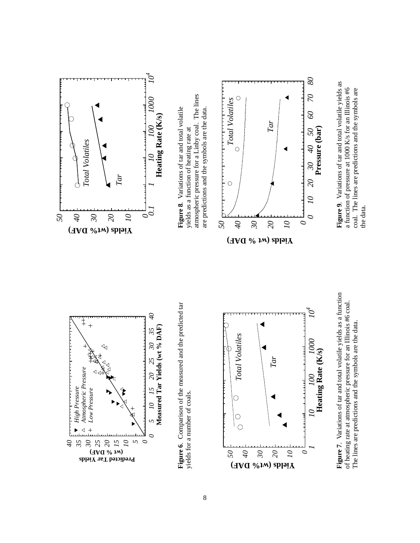



The lines are predictions and the symbols are the data. The lines are predictions and the symbols are the data.

 *10 100 1000 104* Heating Rate (K/s) **Heating Rate (K/s)** 00  $\overline{O}$ 

*0*

*0*

*0*

 $\tilde{\rho}$ 

000

 $\overline{O}$ 

 $\partial t$ 

 $30<sub>o</sub>$ 

 $\overline{20}$ 

 $80\,$ 

 $\mathcal{L}$ 

 $\mathcal{O}$ 

50

**Pressure (bar)**

Pressure (bar)

**Figure 9**. Variations of tar and total volatile yields as a function of pressure at 1000 K/s for an Illinois #6 coal. The lines are predictions and the symbols are

Figure 9. Variations of tar and total volatile yields as a function of pressure at 1000 K/s for an Illinois #6 coal. The lines are predictions and the symbols are

the data.

the data.

*1*

*50*

*40*

*Total Volatiles*

**Total Volatiles** 

 $\bigcirc$ 

 $\bigcirc$  $\overline{C}$ 

*30*

 $(\text{HVA O} \text{A} \text{A}) \text{A} \text{B} \text{C} \text{C} \text{A} \text{A} \text{A})$ 

*20*

*Tar*

*10*

yields for a number of coals.

yields for a number of coals.

*5 0* *0*

Δ

 $\mathcal{L}$ 

**Measured Tar Yields (wt % DAF)**

 $\begin{array}{cc} 5 & 10 & 15 & 20 & 25 & 30 & 35 \\ \text{Measured Tar Yields (wt %o DAF)} \end{array}$ 

*40*

<span id="page-11-0"></span>*High Pressure Atmospheric Pressure Low Pressure*

High Pressure

 $\blacktriangleright$  $\triangleleft$  +

Atmospheric Pressure

Low Pressure

*35 30 25 20 15 10*

**Yields icted Tar d Pre ) DAF (wt %**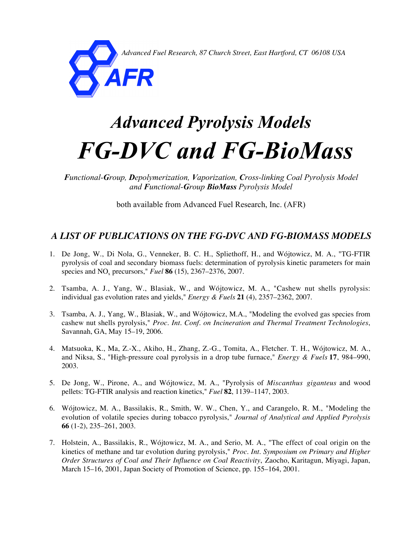*Advanced Fuel Research, 87 Church Street, East Hartford, CT 06108 USA*



## *Advanced Pyrolysis Models FG-DVC and FG-BioMass*

*Functional-Group, Depolymerization, Vaporization, Cross-linking Coal Pyrolysis Model and Functional-Group BioMass Pyrolysis Model*

both available from Advanced Fuel Research, Inc. (AFR)

### *A LIST OF PUBLICATIONS ON THE FG-DVC AND FG-BIOMASS MODELS*

- 1. De Jong, W., Di Nola, G., Venneker, B. C. H., Spliethoff, H., and Wójtowicz, M. A., "TG-FTIR pyrolysis of coal and secondary biomass fuels: determination of pyrolysis kinetic parameters for main species and NO<sub>x</sub> precursors," *Fuel* **86** (15), 2367–2376, 2007.
- 2. Tsamba, A. J., Yang, W., Blasiak, W., and Wójtowicz, M. A., "Cashew nut shells pyrolysis: individual gas evolution rates and yields," *Energy & Fuels* **21** (4), 2357–2362, 2007.
- 3. Tsamba, A. J., Yang, W., Blasiak, W., and Wójtowicz, M.A., "Modeling the evolved gas species from cashew nut shells pyrolysis," *Proc. Int. Conf. on Incineration and Thermal Treatment Technologies*, Savannah, GA, May 15–19, 2006.
- 4. Matsuoka, K., Ma, Z.-X., Akiho, H., Zhang, Z.-G., Tomita, A., Fletcher. T. H., Wójtowicz, M. A., and Niksa, S., "High-pressure coal pyrolysis in a drop tube furnace," *Energy & Fuels* **17**, 984–990, 2003.
- 5. De Jong, W., Pirone, A., and Wójtowicz, M. A., "Pyrolysis of *Miscanthus giganteus* and wood pellets: TG-FTIR analysis and reaction kinetics," *Fuel* **82**, 1139–1147, 2003.
- 6. Wójtowicz, M. A., Bassilakis, R., Smith, W. W., Chen, Y., and Carangelo, R. M., "Modeling the evolution of volatile species during tobacco pyrolysis," *Journal of Analytical and Applied Pyrolysis* **66** (1-2), 235–261, 2003.
- 7. Holstein, A., Bassilakis, R., Wójtowicz, M. A., and Serio, M. A., "The effect of coal origin on the kinetics of methane and tar evolution during pyrolysis," *Proc. Int. Symposium on Primary and Higher Order Structures of Coal and Their Influence on Coal Reactivity*, Zaocho, Karitagun, Miyagi, Japan, March 15–16, 2001, Japan Society of Promotion of Science, pp. 155–164, 2001.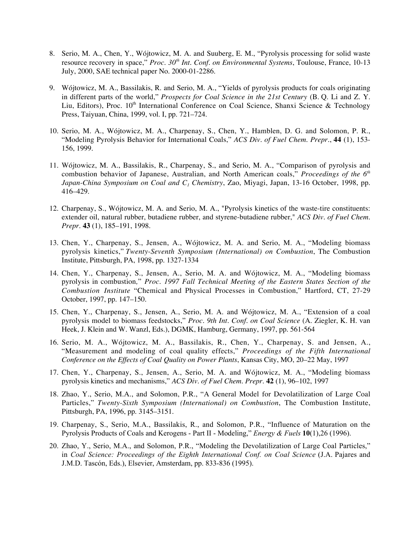- 8. Serio, M. A., Chen, Y., Wójtowicz, M. A. and Suuberg, E. M., "Pyrolysis processing for solid waste resource recovery in space," *Proc. 30th Int. Conf. on Environmental Systems*, Toulouse, France, 10-13 July, 2000, SAE technical paper No. 2000-01-2286.
- 9. Wójtowicz, M. A., Bassilakis, R. and Serio, M. A., "Yields of pyrolysis products for coals originating in different parts of the world," *Prospects for Coal Science in the 21st Century* (B. Q. Li and Z. Y. Liu, Editors), Proc. 10<sup>th</sup> International Conference on Coal Science, Shanxi Science & Technology Press, Taiyuan, China, 1999, vol. I, pp. 721–724.
- 10. Serio, M. A., Wójtowicz, M. A., Charpenay, S., Chen, Y., Hamblen, D. G. and Solomon, P. R., "Modeling Pyrolysis Behavior for International Coals," *ACS Div. of Fuel Chem. Prepr.*, **44** (1), 153- 156, 1999.
- 11. Wójtowicz, M. A., Bassilakis, R., Charpenay, S., and Serio, M. A., "Comparison of pyrolysis and combustion behavior of Japanese, Australian, and North American coals," *Proceedings of the 6th Japan-China Symposium on Coal and C1 Chemistry*, Zao, Miyagi, Japan, 13-16 October, 1998, pp. 416–429.
- 12. Charpenay, S., Wójtowicz, M. A. and Serio, M. A., "Pyrolysis kinetics of the waste-tire constituents: extender oil, natural rubber, butadiene rubber, and styrene-butadiene rubber," *ACS Div. of Fuel Chem. Prepr*. **43** (1), 185–191, 1998.
- 13. Chen, Y., Charpenay, S., Jensen, A., Wójtowicz, M. A. and Serio, M. A., "Modeling biomass pyrolysis kinetics," *Twenty-Seventh Symposium (International) on Combustion*, The Combustion Institute, Pittsburgh, PA, 1998, pp. 1327-1334
- 14. Chen, Y., Charpenay, S., Jensen, A., Serio, M. A. and Wójtowicz, M. A., "Modeling biomass pyrolysis in combustion*,*" *Proc. 1997 Fall Technical Meeting of the Eastern States Section of the Combustion Institute* "Chemical and Physical Processes in Combustion," Hartford, CT, 27-29 October, 1997, pp. 147–150.
- 15. Chen, Y., Charpenay, S., Jensen, A., Serio, M. A. and Wójtowicz, M. A., "Extension of a coal pyrolysis model to biomass feedstocks," *Proc. 9th Int. Conf. on Coal Science* (A. Ziegler, K. H. van Heek, J. Klein and W. Wanzl, Eds.), DGMK, Hamburg, Germany, 1997, pp. 561-564
- 16. Serio, M. A., Wójtowicz, M. A., Bassilakis, R., Chen, Y., Charpenay, S. and Jensen, A., "Measurement and modeling of coal quality effects," *Proceedings of the Fifth International Conference on the Effects of Coal Quality on Power Plants*, Kansas City, MO, 20–22 May, 1997
- 17. Chen, Y., Charpenay, S., Jensen, A., Serio, M. A. and Wójtowicz, M. A., "Modeling biomass pyrolysis kinetics and mechanisms," *ACS Div. of Fuel Chem. Prepr*. **42** (1), 96–102, 1997
- 18. Zhao, Y., Serio, M.A., and Solomon, P.R., "A General Model for Devolatilization of Large Coal Particles," *Twenty-Sixth Symposium (International) on Combustion*, The Combustion Institute, Pittsburgh, PA, 1996, pp. 3145–3151.
- 19. Charpenay, S., Serio, M.A., Bassilakis, R., and Solomon, P.R., "Influence of Maturation on the Pyrolysis Products of Coals and Kerogens - Part II - Modeling," *Energy & Fuels* 10(1),26 (1996).
- 20. Zhao, Y., Serio, M.A., and Solomon, P.R., "Modeling the Devolatilization of Large Coal Particles," in *Coal Science: Proceedings of the Eighth International Conf. on Coal Science* (J.A. Pajares and J.M.D. Tascón, Eds.), Elsevier, Amsterdam, pp. 833-836 (1995).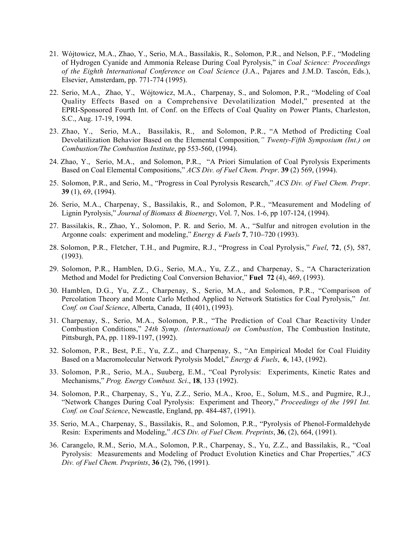- 21. Wójtowicz, M.A., Zhao, Y., Serio, M.A., Bassilakis, R., Solomon, P.R., and Nelson, P.F., "Modeling of Hydrogen Cyanide and Ammonia Release During Coal Pyrolysis," in *Coal Science: Proceedings of the Eighth International Conference on Coal Science* (J.A., Pajares and J.M.D. Tascón, Eds.), Elsevier, Amsterdam, pp. 771-774 (1995).
- 22. Serio, M.A., Zhao, Y., Wójtowicz, M.A., Charpenay, S., and Solomon, P.R., "Modeling of Coal Quality Effects Based on a Comprehensive Devolatilization Model," presented at the EPRI-Sponsored Fourth Int. of Conf. on the Effects of Coal Quality on Power Plants, Charleston, S.C., Aug. 17-19, 1994.
- 23. Zhao, Y., Serio, M.A., Bassilakis, R., and Solomon, P.R., "A Method of Predicting Coal Devolatilization Behavior Based on the Elemental Composition*," Twenty-Fifth Symposium (Int.) on Combustion/The Combustion Institute*, pp 553-560, (1994).
- 24. Zhao, Y., Serio, M.A., and Solomon, P.R., "A Priori Simulation of Coal Pyrolysis Experiments Based on Coal Elemental Compositions," *ACS Div. of Fuel Chem. Prepr*. 39 (2) 569, (1994).
- 25. Solomon, P.R., and Serio, M., "Progress in Coal Pyrolysis Research," *ACS Div. of Fuel Chem. Prepr*. 39 (1), 69, (1994).
- 26. Serio, M.A., Charpenay, S., Bassilakis, R., and Solomon, P.R., "Measurement and Modeling of Lignin Pyrolysis," *Journal of Biomass & Bioenergy*, Vol. 7, Nos. 1-6, pp 107-124, (1994).
- 27. Bassilakis, R., Zhao, Y., Solomon, P. R. and Serio, M. A., "Sulfur and nitrogen evolution in the Argonne coals: experiment and modeling," *Energy & Fuels* **7**, 710–720 (1993).
- 28. Solomon, P.R., Fletcher, T.H., and Pugmire, R.J., "Progress in Coal Pyrolysis," *Fuel*, 72, (5), 587, (1993).
- 29. Solomon, P.R., Hamblen, D.G., Serio, M.A., Yu, Z.Z., and Charpenay, S., "A Characterization Method and Model for Predicting Coal Conversion Behavior," Fuel 72 (4), 469, (1993).
- 30. Hamblen, D.G., Yu, Z.Z., Charpenay, S., Serio, M.A., and Solomon, P.R., "Comparison of Percolation Theory and Monte Carlo Method Applied to Network Statistics for Coal Pyrolysis," *Int. Conf. on Coal Science*, Alberta, Canada, II (401), (1993).
- 31. Charpenay, S., Serio, M.A., Solomon, P.R., "The Prediction of Coal Char Reactivity Under Combustion Conditions," *24th Symp. (International) on Combustion*, The Combustion Institute, Pittsburgh, PA, pp. 1189-1197, (1992).
- 32. Solomon, P.R., Best, P.E., Yu, Z.Z., and Charpenay, S., "An Empirical Model for Coal Fluidity Based on a Macromolecular Network Pyrolysis Model," *Energy & Fuels*, 6, 143, (1992).
- 33. Solomon, P.R., Serio, M.A., Suuberg, E.M., "Coal Pyrolysis: Experiments, Kinetic Rates and Mechanisms," *Prog. Energy Combust. Sci*., 18, 133 (1992).
- 34. Solomon, P.R., Charpenay, S., Yu, Z.Z., Serio, M.A., Kroo, E., Solum, M.S., and Pugmire, R.J., "Network Changes During Coal Pyrolysis: Experiment and Theory," *Proceedings of the 1991 Int. Conf. on Coal Science*, Newcastle, England, pp. 484-487, (1991).
- 35. Serio, M.A., Charpenay, S., Bassilakis, R., and Solomon, P.R., "Pyrolysis of Phenol-Formaldehyde Resin: Experiments and Modeling," *ACS Div. of Fuel Chem. Preprints*, 36, (2), 664, (1991).
- 36. Carangelo, R.M., Serio, M.A., Solomon, P.R., Charpenay, S., Yu, Z.Z., and Bassilakis, R., "Coal Pyrolysis: Measurements and Modeling of Product Evolution Kinetics and Char Properties," *ACS Div. of Fuel Chem. Preprints*, 36 (2), 796, (1991).